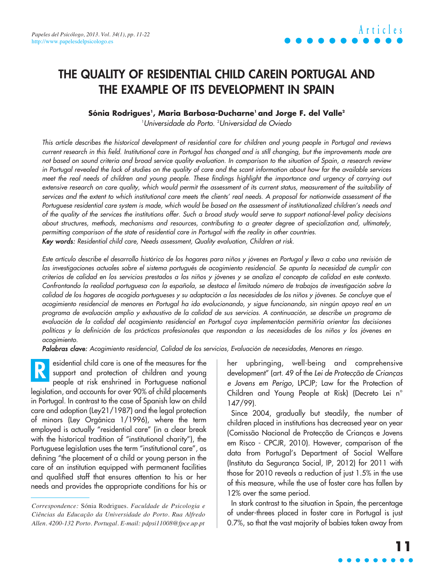### **THE QUALITY OF RESIDENTIAL CHILD CAREIN PORTUGAL AND THE EXAMPLE OF ITS DEVELOPMENT IN SPAIN**

#### **Sónia Rodrigues1 , Maria Barbosa-Ducharne1 and Jorge F. del Valle2**

1 Universidade do Porto. 2 Universidad de Oviedo

This article describes the historical development of residential care for children and young people in Portugal and reviews current research in this field. Institutional care in Portugal has changed and is still changing, but the improvements made are not based on sound criteria and broad service quality evaluation. In comparison to the situation of Spain, a research review in Portugal revealed the lack of studies on the quality of care and the scant information about how far the available services meet the real needs of children and young people. These findings highlight the importance and urgency of carrying out extensive research on care quality, which would permit the assessment of its current status, measurement of the suitability of services and the extent to which institutional care meets the clients' real needs. A proposal for nationwide assessment of the Portuguese residential care system is made, which would be based on the assessment of institutionalized children's needs and of the quality of the services the institutions offer. Such a broad study would serve to support national-level policy decisions about structures, methods, mechanisms and resources, contributing to a greater degree of specialization and, ultimately, permitting comparison of the state of residential care in Portugal with the reality in other countries. Key words: Residential child care, Needs assessment, Quality evaluation, Children at risk.

Este artículo describe el desarrollo histórico de los hogares para niños y jóvenes en Portugal y lleva a cabo una revisión de las investigaciones actuales sobre el sistema portugués de acogimiento residencial. Se apunta la necesidad de cumplir con criterios de calidad en los servicios prestados a los niños y jóvenes y se analiza el concepto de calidad en este contexto. Confrontando la realidad portuguesa con la española, se destaca el limitado número de trabajos de investigación sobre la calidad de los hogares de acogida portugueses y su adaptación a las necesidades de los niños y jóvenes. Se concluye que el acogimiento residencial de menores en Portugal ha ido evolucionando, y sigue funcionando, sin ningún apoyo real en un programa de evaluación amplio y exhaustivo de la calidad de sus servicios. A continuación, se describe un programa de evaluación de la calidad del acogimiento residencial en Portugal cuya implementación permitiría orientar las decisiones políticas y la definición de las prácticas profesionales que respondan a las necesidades de los niños y los jóvenes en acogimiento.

Palabras clave: Acogimiento residencial, Calidad de los servicios, Evaluación de necesidades, Menores en riesgo.

esidential child care is one of the measures for the support and protection of children and young people at risk enshrined in Portuguese national legislation, and accounts for over 90% of child placements in Portugal. In contrast to the case of Spanish law on child care and adoption (Ley21/1987) and the legal protection of minors (Ley Orgánica 1/1996), where the term employed is actually "residential care" (in a clear break with the historical tradition of "institutional charity"), the Portuguese legislation uses the term "institutional care", as defining "the placement of a child or young person in the care of an institution equipped with permanent facilities and qualified staff that ensures attention to his or her needs and provides the appropriate conditions for his or **R**

her upbringing, well-being and comprehensive development" (art. 49 of the Lei de Protecção de Crianças e Jovens em Perigo, LPCJP; Law for the Protection of Children and Young People at Risk) (Decreto Lei n° 147/99).

Since 2004, gradually but steadily, the number of children placed in institutions has decreased year on year (Comissão Nacional de Protecção de Crianças e Jovens em Risco - CPCJR, 2010). However, comparison of the data from Portugal's Department of Social Welfare (Instituto da Segurança Social, IP, 2012) for 2011 with those for 2010 reveals a reduction of just 1.5% in the use of this measure, while the use of foster care has fallen by 12% over the same period.

In stark contrast to the situation in Spain, the percentage of under-threes placed in foster care in Portugal is just 0.7%, so that the vast majority of babies taken away from

*Correspondence:* Sónia Rodrigues. *Faculdade de Psicologia e Ciências da Educação da Universidade do Porto. Rua Alfredo Allen. 4200-132 Porto. Portugal. E-mail: pdpsi11008@fpce.up.pt*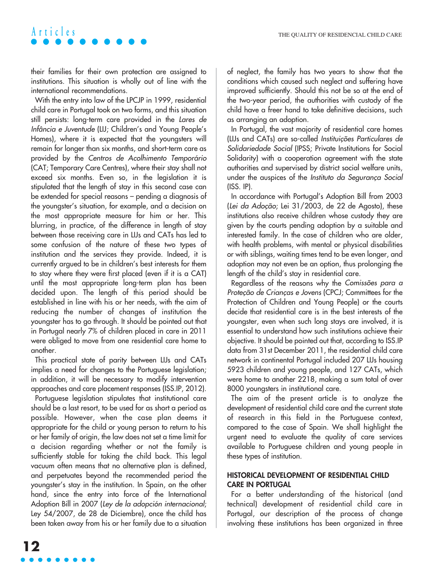their families for their own protection are assigned to institutions. This situation is wholly out of line with the international recommendations.

With the entry into law of the LPCJP in 1999, residential child care in Portugal took on two forms, and this situation still persists: long-term care provided in the Lares de Infância e Juventude (LIJ; Children's and Young People's Homes), where it is expected that the youngsters will remain for longer than six months, and short-term care as provided by the Centros de Acolhimento Temporário (CAT; Temporary Care Centres), where their stay shall not exceed six months. Even so, in the legislation it is stipulated that the length of stay in this second case can be extended for special reasons – pending a diagnosis of the youngster's situation, for example, and a decision on the most appropriate measure for him or her. This blurring, in practice, of the difference in length of stay between those receiving care in LIJs and CATs has led to some confusion of the nature of these two types of institution and the services they provide. Indeed, it is currently argued to be in children's best interests for them to stay where they were first placed (even if it is a CAT) until the most appropriate long-term plan has been decided upon. The length of this period should be established in line with his or her needs, with the aim of reducing the number of changes of institution the youngster has to go through. It should be pointed out that in Portugal nearly 7% of children placed in care in 2011 were obliged to move from one residential care home to another.

This practical state of parity between LIJs and CATs implies a need for changes to the Portuguese legislation; in addition, it will be necessary to modify intervention approaches and care placement responses (ISS.IP, 2012).

Portuguese legislation stipulates that institutional care should be a last resort, to be used for as short a period as possible. However, when the case plan deems it appropriate for the child or young person to return to his or her family of origin, the law does not set a time limit for a decision regarding whether or not the family is sufficiently stable for taking the child back. This legal vacuum often means that no alternative plan is defined, and perpetuates beyond the recommended period the youngster's stay in the institution. In Spain, on the other hand, since the entry into force of the International Adoption Bill in 2007 (Ley de la adopción internacional; Ley 54/2007, de 28 de Diciembre), once the child has been taken away from his or her family due to a situation of neglect, the family has two years to show that the conditions which caused such neglect and suffering have improved sufficiently. Should this not be so at the end of the two-year period, the authorities with custody of the child have a freer hand to take definitive decisions, such as arranging an adoption.

In Portugal, the vast majority of residential care homes (LIJs and CATs) are so-called Instituições Particulares de Solidariedade Social (IPSS; Private Institutions for Social Solidarity) with a cooperation agreement with the state authorities and supervised by district social welfare units, under the auspices of the Instituto da Segurança Social (ISS. IP).

In accordance with Portugal's Adoption Bill from 2003 (Lei da Adoção; Lei 31/2003, de 22 de Agosto), these institutions also receive children whose custody they are given by the courts pending adoption by a suitable and interested family. In the case of children who are older, with health problems, with mental or physical disabilities or with siblings, waiting times tend to be even longer, and adoption may not even be an option, thus prolonging the length of the child's stay in residential care.

Regardless of the reasons why the Comissões para a Proteção de Crianças e Jovens (CPCJ; Committees for the Protection of Children and Young People) or the courts decide that residential care is in the best interests of the youngster, even when such long stays are involved, it is essential to understand how such institutions achieve their objective. It should be pointed out that, according to ISS.IP data from 31st December 2011, the residential child care network in continental Portugal included 207 LIJs housing 5923 children and young people, and 127 CATs, which were home to another 2218, making a sum total of over 8000 youngsters in institutional care.

The aim of the present article is to analyze the development of residential child care and the current state of research in this field in the Portuguese context, compared to the case of Spain. We shall highlight the urgent need to evaluate the quality of care services available to Portuguese children and young people in these types of institution.

#### **HISTORICAL DEVELOPMENT OF RESIDENTIAL CHILD CARE IN PORTUGAL**

For a better understanding of the historical (and technical) development of residential child care in Portugal, our description of the process of change involving these institutions has been organized in three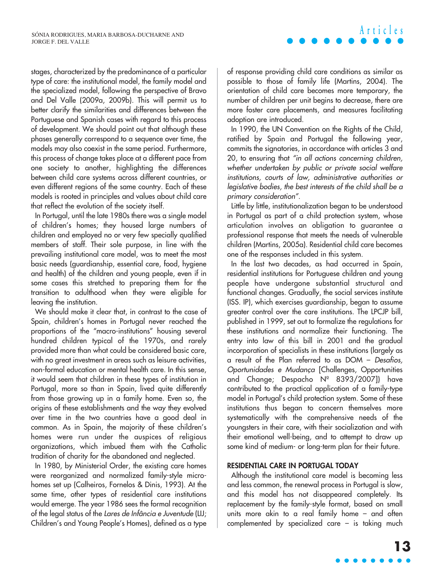stages, characterized by the predominance of a particular type of care: the institutional model, the family model and the specialized model, following the perspective of Bravo and Del Valle (2009a, 2009b). This will permit us to better clarify the similarities and differences between the Portuguese and Spanish cases with regard to this process of development. We should point out that although these phases generally correspond to a sequence over time, the models may also coexist in the same period. Furthermore, this process of change takes place at a different pace from one society to another, highlighting the differences between child care systems across different countries, or even different regions of the same country. Each of these models is rooted in principles and values about child care that reflect the evolution of the society itself.

In Portugal, until the late 1980s there was a single model of children's homes; they housed large numbers of children and employed no or very few specially qualified members of staff. Their sole purpose, in line with the prevailing institutional care model, was to meet the most basic needs (guardianship, essential care, food, hygiene and health) of the children and young people, even if in some cases this stretched to preparing them for the transition to adulthood when they were eligible for leaving the institution.

We should make it clear that, in contrast to the case of Spain, children's homes in Portugal never reached the proportions of the "macro-institutions" housing several hundred children typical of the 1970s, and rarely provided more than what could be considered basic care, with no great investment in areas such as leisure activities, non-formal education or mental health care. In this sense, it would seem that children in these types of institution in Portugal, more so than in Spain, lived quite differently from those growing up in a family home. Even so, the origins of these establishments and the way they evolved over time in the two countries have a good deal in common. As in Spain, the majority of these children's homes were run under the auspices of religious organizations, which imbued them with the Catholic tradition of charity for the abandoned and neglected.

In 1980, by Ministerial Order, the existing care homes were reorganized and normalized family-style microhomes set up (Calheiros, Fornelos & Dinis, 1993). At the same time, other types of residential care institutions would emerge. The year 1986 sees the formal recognition of the legal status of the Lares de Infância e Juventude (LIJ; Children's and Young People's Homes), defined as a type **Articles**

of response providing child care conditions as similar as possible to those of family life (Martins, 2004). The orientation of child care becomes more temporary, the number of children per unit begins to decrease, there are more foster care placements, and measures facilitating adoption are introduced.

In 1990, the UN Convention on the Rights of the Child, ratified by Spain and Portugal the following year, commits the signatories, in accordance with articles 3 and 20, to ensuring that "in all actions concerning children, whether undertaken by public or private social welfare institutions, courts of law, administrative authorities or legislative bodies, the best interests of the child shall be a primary consideration".

Little by little, institutionalization began to be understood in Portugal as part of a child protection system, whose articulation involves an obligation to guarantee a professional response that meets the needs of vulnerable children (Martins, 2005a). Residential child care becomes one of the responses included in this system.

In the last two decades, as had occurred in Spain, residential institutions for Portuguese children and young people have undergone substantial structural and functional changes. Gradually, the social services institute (ISS. IP), which exercises guardianship, began to assume greater control over the care institutions. The LPCJP bill, published in 1999, set out to formalize the regulations for these institutions and normalize their functioning. The entry into law of this bill in 2001 and the gradual incorporation of specialists in these institutions (largely as a result of the Plan referred to as DOM – Desafios, Oportunidades e Mudança [Challenges, Opportunities and Change; Despacho Nº 8393/2007]) have contributed to the practical application of a family-type model in Portugal's child protection system. Some of these institutions thus began to concern themselves more systematically with the comprehensive needs of the youngsters in their care, with their socialization and with their emotional well-being, and to attempt to draw up some kind of medium- or long-term plan for their future.

#### **RESIDENTIAL CARE IN PORTUGAL TODAY**

Although the institutional care model is becoming less and less common, the renewal process in Portugal is slow, and this model has not disappeared completely. Its replacement by the family-style format, based on small units more akin to a real family home – and often complemented by specialized care – is taking much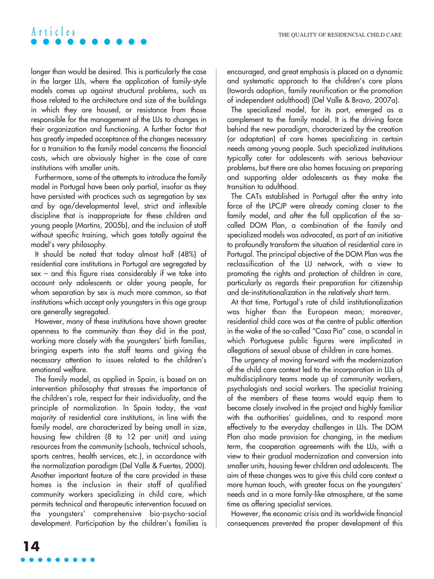longer than would be desired. This is particularly the case in the larger LIJs, where the application of family-style models comes up against structural problems, such as those related to the architecture and size of the buildings in which they are housed, or resistance from those responsible for the management of the LIJs to changes in their organization and functioning. A further factor that has greatly impeded acceptance of the changes necessary for a transition to the family model concerns the financial costs, which are obviously higher in the case of care institutions with smaller units.

Furthermore, some of the attempts to introduce the family model in Portugal have been only partial, insofar as they have persisted with practices such as segregation by sex and by age/developmental level, strict and inflexible discipline that is inappropriate for these children and young people (Martins, 2005b), and the inclusion of staff without specific training, which goes totally against the model's very philosophy.

It should be noted that today almost half (48%) of residential care institutions in Portugal are segregated by sex – and this figure rises considerably if we take into account only adolescents or older young people, for whom separation by sex is much more common, so that institutions which accept only youngsters in this age group are generally segregated.

However, many of these institutions have shown greater openness to the community than they did in the past, working more closely with the youngsters' birth families, bringing experts into the staff teams and giving the necessary attention to issues related to the children's emotional welfare.

The family model, as applied in Spain, is based on an intervention philosophy that stresses the importance of the children's role, respect for their individuality, and the principle of normalization. In Spain today, the vast majority of residential care institutions, in line with the family model, are characterized by being small in size, housing few children (8 to 12 per unit) and using resources from the community (schools, technical schools, sports centres, health services, etc.), in accordance with the normalization paradigm (Del Valle & Fuertes, 2000). Another important feature of the care provided in these homes is the inclusion in their staff of qualified community workers specializing in child care, which permits technical and therapeutic intervention focused on the youngsters' comprehensive bio-psycho-social development. Participation by the children's families is encouraged, and great emphasis is placed on a dynamic and systematic approach to the children's care plans (towards adoption, family reunification or the promotion of independent adulthood) (Del Valle & Bravo, 2007a).

The specialized model, for its part, emerged as a complement to the family model. It is the driving force behind the new paradigm, characterized by the creation (or adaptation) of care homes specializing in certain needs among young people. Such specialized institutions typically cater for adolescents with serious behaviour problems, but there are also homes focusing on preparing and supporting older adolescents as they make the transition to adulthood.

The CATs established in Portugal after the entry into force of the LPCJP were already coming closer to the family model, and after the full application of the socalled DOM Plan, a combination of the family and specialized models was advocated, as part of an initiative to profoundly transform the situation of residential care in Portugal. The principal objective of the DOM Plan was the reclassification of the LIJ network, with a view to promoting the rights and protection of children in care, particularly as regards their preparation for citizenship and de-institutionalization in the relatively short term.

At that time, Portugal's rate of child institutionalization was higher than the European mean; moreover, residential child care was at the centre of public attention in the wake of the so-called "Casa Pia" case, a scandal in which Portuguese public figures were implicated in allegations of sexual abuse of children in care homes.

The urgency of moving forward with the modernization of the child care context led to the incorporation in LIJs of multidisciplinary teams made up of community workers, psychologists and social workers. The specialist training of the members of these teams would equip them to become closely involved in the project and highly familiar with the authorities' guidelines, and to respond more effectively to the everyday challenges in LIJs. The DOM Plan also made provision for changing, in the medium term, the cooperation agreements with the LIJs, with a view to their gradual modernization and conversion into smaller units, housing fewer children and adolescents. The aim of these changes was to give this child care context a more human touch, with greater focus on the youngsters' needs and in a more family-like atmosphere, at the same time as offering specialist services.

However, the economic crisis and its worldwide financial consequences prevented the proper development of this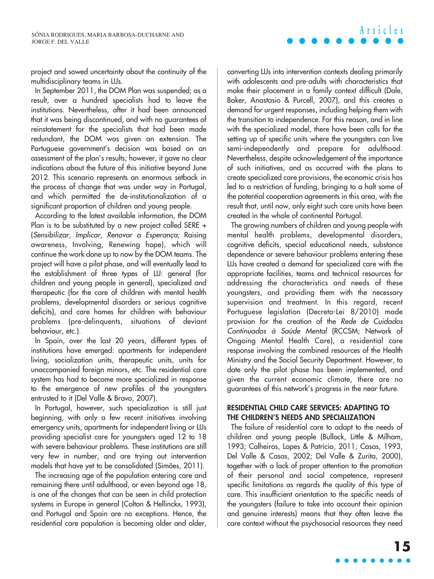project and sowed uncertainty about the continuity of the multidisciplinary teams in LIJs.

In September 2011, the DOM Plan was suspended; as a result, over a hundred specialists had to leave the institutions. Nevertheless, after it had been announced that it was being discontinued, and with no guarantees of reinstatement for the specialists that had been made redundant, the DOM was given an extension. The Portuguese government's decision was based on an assessment of the plan's results; however, it gave no clear indications about the future of this initiative beyond June 2012. This scenario represents an enormous setback in the process of change that was under way in Portugal, and which permitted the de-institutionalization of a significant proportion of children and young people.

According to the latest available information, the DOM Plan is to be substituted by a new project called SERE + (Sensibilizar, Implicar, Renovar a Esperança; Raising awareness, Involving, Renewing hope), which will continue the work done up to now by the DOM teams. The project will have a pilot phase, and will eventually lead to the establishment of three types of LIJ: general (for children and young people in general), specialized and therapeutic (for the care of children with mental health problems, developmental disorders or serious cognitive deficits), and care homes for children with behaviour problems (pre-delinquents, situations of deviant behaviour, etc.).

In Spain, over the last 20 years, different types of institutions have emerged: apartments for independent living, socialization units, therapeutic units, units for unaccompanied foreign minors, etc. The residential care system has had to become more specialized in response to the emergence of new profiles of the youngsters entrusted to it (Del Valle & Bravo, 2007).

In Portugal, however, such specialization is still just beginning, with only a few recent initiatives involving emergency units, apartments for independent living or LIJs providing specialist care for youngsters aged 12 to 18 with severe behaviour problems. These institutions are still very few in number, and are trying out intervention models that have yet to be consolidated (Simões, 2011).

The increasing age of the population entering care and remaining there until adulthood, or even beyond age 18, is one of the changes that can be seen in child protection systems in Europe in general (Colton & Hellinckx, 1993), and Portugal and Spain are no exceptions. Hence, the residential care population is becoming older and older, converting LIJs into intervention contexts dealing primarily with adolescents and pre-adults with characteristics that make their placement in a family context difficult (Dale, Baker, Anastasio & Purcell, 2007), and this creates a demand for urgent responses, including helping them with the transition to independence. For this reason, and in line with the specialized model, there have been calls for the setting up of specific units where the youngsters can live semi-independently and prepare for adulthood. Nevertheless, despite acknowledgement of the importance of such initiatives, and as occurred with the plans to create specialized care provisions, the economic crisis has led to a restriction of funding, bringing to a halt some of the potential cooperation agreements in this area, with the result that, until now, only eight such care units have been created in the whole of continental Portugal.

The growing numbers of children and young people with mental health problems, developmental disorders, cognitive deficits, special educational needs, substance dependence or severe behaviour problems entering these LIJs have created a demand for specialized care with the appropriate facilities, teams and technical resources for addressing the characteristics and needs of these youngsters, and providing them with the necessary supervision and treatment. In this regard, recent Portuguese legislation (Decreto-Lei 8/2010) made provision for the creation of the Rede de Cuidados Continuados à Saúde Mental (RCCSM; Network of Ongoing Mental Health Care), a residential care response involving the combined resources of the Health Ministry and the Social Security Department. However, to date only the pilot phase has been implemented, and given the current economic climate, there are no guarantees of this network's progress in the near future.

#### **RESIDENTIAL CHILD CARE SERVICES: ADAPTING TO THE CHILDREN'S NEEDS AND SPECIALIZATION**

The failure of residential care to adapt to the needs of children and young people (Bullock, Little & Milham, 1993; Calheiros, Lopes & Patrício, 2011; Casas, 1993, Del Valle & Casas, 2002; Del Valle & Zurita, 2000), together with a lack of proper attention to the promotion of their personal and social competence, represent specific limitations as regards the quality of this type of care. This insufficient orientation to the specific needs of the youngsters (failure to take into account their opinion and genuine interests) means that they often leave the care context without the psychosocial resources they need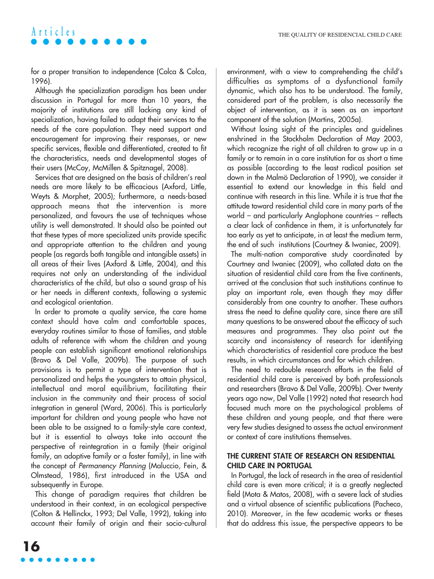for a proper transition to independence (Colca & Colca, 1996).

Although the specialization paradigm has been under discussion in Portugal for more than 10 years, the majority of institutions are still lacking any kind of specialization, having failed to adapt their services to the needs of the care population. They need support and encouragement for improving their responses, or new specific services, flexible and differentiated, created to fit the characteristics, needs and developmental stages of their users (McCoy, McMillen & Spitznagel, 2008).

Services that are designed on the basis of children's real needs are more likely to be efficacious (Axford, Little, Weyts & Morphet, 2005); furthermore, a needs-based approach means that the intervention is more personalized, and favours the use of techniques whose utility is well demonstrated. It should also be pointed out that these types of more specialized units provide specific and appropriate attention to the children and young people (as regards both tangible and intangible assets) in all areas of their lives (Axford & Little, 2004), and this requires not only an understanding of the individual characteristics of the child, but also a sound grasp of his or her needs in different contexts, following a systemic and ecological orientation.

In order to promote a quality service, the care home context should have calm and comfortable spaces, everyday routines similar to those of families, and stable adults of reference with whom the children and young people can establish significant emotional relationships (Bravo & Del Valle, 2009b). The purpose of such provisions is to permit a type of intervention that is personalized and helps the youngsters to attain physical, intellectual and moral equilibrium, facilitating their inclusion in the community and their process of social integration in general (Ward, 2006). This is particularly important for children and young people who have not been able to be assigned to a family-style care context, but it is essential to always take into account the perspective of reintegration in a family (their original family, an adoptive family or a foster family), in line with the concept of Permanency Planning (Maluccio, Fein, & Olmstead, 1986), first introduced in the USA and subsequently in Europe.

This change of paradigm requires that children be understood in their context, in an ecological perspective (Colton & Hellinckx, 1993; Del Valle, 1992), taking into account their family of origin and their socio-cultural environment, with a view to comprehending the child's difficulties as symptoms of a dysfunctional family dynamic, which also has to be understood. The family, considered part of the problem, is also necessarily the object of intervention, as it is seen as an important component of the solution (Martins, 2005a).

Without losing sight of the principles and guidelines enshrined in the Stockholm Declaration of May 2003, which recognize the right of all children to grow up in a family or to remain in a care institution for as short a time as possible (according to the least radical position set down in the Malmö Declaration of 1990), we consider it essential to extend our knowledge in this field and continue with research in this line. While it is true that the attitude toward residential child care in many parts of the world – and particularly Anglophone countries – reflects a clear lack of confidence in them, it is unfortunately far too early as yet to anticipate, in at least the medium term, the end of such institutions (Courtney & Iwaniec, 2009).

The multi-nation comparative study coordinated by Courtney and Iwaniec (2009), who collated data on the situation of residential child care from the five continents, arrived at the conclusion that such institutions continue to play an important role, even though they may differ considerably from one country to another. These authors stress the need to define quality care, since there are still many questions to be answered about the efficacy of such measures and programmes. They also point out the scarcity and inconsistency of research for identifying which characteristics of residential care produce the best results, in which circumstances and for which children.

The need to redouble research efforts in the field of residential child care is perceived by both professionals and researchers (Bravo & Del Valle, 2009b). Over twenty years ago now, Del Valle (1992) noted that research had focused much more on the psychological problems of these children and young people, and that there were very few studies designed to assess the actual environment or context of care institutions themselves.

#### **THE CURRENT STATE OF RESEARCH ON RESIDENTIAL CHILD CARE IN PORTUGAL**

In Portugal, the lack of research in the area of residential child care is even more critical; it is a greatly neglected field (Mota & Matos, 2008), with a severe lack of studies and a virtual absence of scientific publications (Pacheco, 2010). Moreover, in the few academic works or theses that do address this issue, the perspective appears to be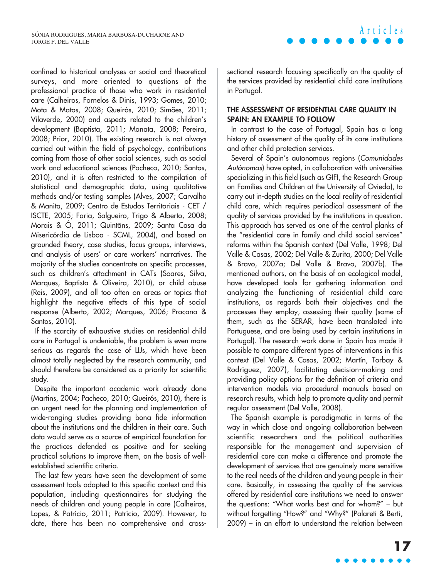confined to historical analyses or social and theoretical surveys, and more oriented to questions of the professional practice of those who work in residential care (Calheiros, Fornelos & Dinis, 1993; Gomes, 2010; Mota & Matos, 2008; Queirós, 2010; Simões, 2011; Vilaverde, 2000) and aspects related to the children's development (Baptista, 2011; Manata, 2008; Pereira, 2008; Prior, 2010). The existing research is not always carried out within the field of psychology, contributions coming from those of other social sciences, such as social work and educational sciences (Pacheco, 2010; Santos, 2010), and it is often restricted to the compilation of statistical and demographic data, using qualitative methods and/or testing samples (Alves, 2007; Carvalho & Manita, 2009; Centro de Estudos Territoriais - CET / ISCTE, 2005; Faria, Salgueiro, Trigo & Alberto, 2008; Morais & Ó, 2011; Quintãns, 2009; Santa Casa da Misericórdia de Lisboa - SCML, 2004), and based on grounded theory, case studies, focus groups, interviews, and analysis of users' or care workers' narratives. The majority of the studies concentrate on specific processes, such as children's attachment in CATs (Soares, Silva, Marques, Baptista & Oliveira, 2010), or child abuse (Reis, 2009), and all too often on areas or topics that highlight the negative effects of this type of social response (Alberto, 2002; Marques, 2006; Pracana & Santos, 2010).

If the scarcity of exhaustive studies on residential child care in Portugal is undeniable, the problem is even more serious as regards the case of LIJs, which have been almost totally neglected by the research community, and should therefore be considered as a priority for scientific study.

Despite the important academic work already done (Martins, 2004; Pacheco, 2010; Queirós, 2010), there is an urgent need for the planning and implementation of wide-ranging studies providing bona fide information about the institutions and the children in their care. Such data would serve as a source of empirical foundation for the practices defended as positive and for seeking practical solutions to improve them, on the basis of wellestablished scientific criteria.

The last few years have seen the development of some assessment tools adapted to this specific context and this population, including questionnaires for studying the needs of children and young people in care (Calheiros, Lopes, & Patrício, 2011; Patrício, 2009). However, to date, there has been no comprehensive and crosssectional research focusing specifically on the quality of the services provided by residential child care institutions in Portugal.

#### **THE ASSESSMENT OF RESIDENTIAL CARE QUALITY IN SPAIN: AN EXAMPLE TO FOLLOW**

In contrast to the case of Portugal, Spain has a long history of assessment of the quality of its care institutions and other child protection services.

Several of Spain's autonomous regions (Comunidades Autónomas) have opted, in collaboration with universities specializing in this field (such as GIFI, the Research Group on Families and Children at the University of Oviedo), to carry out in-depth studies on the local reality of residential child care, which requires periodical assessment of the quality of services provided by the institutions in question. This approach has served as one of the central planks of the "residential care in family and child social services" reforms within the Spanish context (Del Valle, 1998; Del Valle & Casas, 2002; Del Valle & Zurita, 2000; Del Valle & Bravo, 2007a; Del Valle & Bravo, 2007b). The mentioned authors, on the basis of an ecological model, have developed tools for gathering information and analyzing the functioning of residential child care institutions, as regards both their objectives and the processes they employ, assessing their quality (some of them, such as the SERAR, have been translated into Portuguese, and are being used by certain institutions in Portugal). The research work done in Spain has made it possible to compare different types of interventions in this context (Del Valle & Casas, 2002; Martín, Torbay & Rodríguez, 2007), facilitating decision-making and providing policy options for the definition of criteria and intervention models via procedural manuals based on research results, which help to promote quality and permit regular assessment (Del Valle, 2008).

The Spanish example is paradigmatic in terms of the way in which close and ongoing collaboration between scientific researchers and the political authorities responsible for the management and supervision of residential care can make a difference and promote the development of services that are genuinely more sensitive to the real needs of the children and young people in their care. Basically, in assessing the quality of the services offered by residential care institutions we need to answer the questions: "What works best and for whom?" – but without forgetting "How?" and "Why?" (Palareti & Berti, 2009) – in an effort to understand the relation between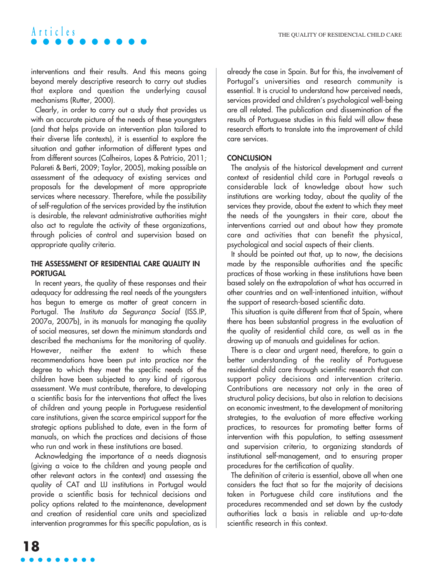interventions and their results. And this means going beyond merely descriptive research to carry out studies that explore and question the underlying causal mechanisms (Rutter, 2000).

Clearly, in order to carry out a study that provides us with an accurate picture of the needs of these youngsters (and that helps provide an intervention plan tailored to their diverse life contexts), it is essential to explore the situation and gather information of different types and from different sources (Calheiros, Lopes & Patrício, 2011; Palareti & Berti, 2009; Taylor, 2005), making possible an assessment of the adequacy of existing services and proposals for the development of more appropriate services where necessary. Therefore, while the possibility of self-regulation of the services provided by the institution is desirable, the relevant administrative authorities might also act to regulate the activity of these organizations, through policies of control and supervision based on appropriate quality criteria.

#### **THE ASSESSMENT OF RESIDENTIAL CARE QUALITY IN PORTUGAL**

In recent years, the quality of these responses and their adequacy for addressing the real needs of the youngsters has begun to emerge as matter of great concern in Portugal. The Instituto da Segurança Social (ISS.IP, 2007a, 2007b), in its manuals for managing the quality of social measures, set down the minimum standards and described the mechanisms for the monitoring of quality. However, neither the extent to which these recommendations have been put into practice nor the degree to which they meet the specific needs of the children have been subjected to any kind of rigorous assessment. We must contribute, therefore, to developing a scientific basis for the interventions that affect the lives of children and young people in Portuguese residential care institutions, given the scarce empirical support for the strategic options published to date, even in the form of manuals, on which the practices and decisions of those who run and work in these institutions are based.

Acknowledging the importance of a needs diagnosis (giving a voice to the children and young people and other relevant actors in the context) and assessing the quality of CAT and LIJ institutions in Portugal would provide a scientific basis for technical decisions and policy options related to the maintenance, development and creation of residential care units and specialized intervention programmes for this specific population, as is already the case in Spain. But for this, the involvement of Portugal's universities and research community is essential. It is crucial to understand how perceived needs, services provided and children's psychological well-being are all related. The publication and dissemination of the results of Portuguese studies in this field will allow these research efforts to translate into the improvement of child care services.

#### **CONCLUSION**

The analysis of the historical development and current context of residential child care in Portugal reveals a considerable lack of knowledge about how such institutions are working today, about the quality of the services they provide, about the extent to which they meet the needs of the youngsters in their care, about the interventions carried out and about how they promote care and activities that can benefit the physical, psychological and social aspects of their clients.

It should be pointed out that, up to now, the decisions made by the responsible authorities and the specific practices of those working in these institutions have been based solely on the extrapolation of what has occurred in other countries and on well-intentioned intuition, without the support of research-based scientific data.

This situation is quite different from that of Spain, where there has been substantial progress in the evaluation of the quality of residential child care, as well as in the drawing up of manuals and guidelines for action.

There is a clear and urgent need, therefore, to gain a better understanding of the reality of Portuguese residential child care through scientific research that can support policy decisions and intervention criteria. Contributions are necessary not only in the area of structural policy decisions, but also in relation to decisions on economic investment, to the development of monitoring strategies, to the evaluation of more effective working practices, to resources for promoting better forms of intervention with this population, to setting assessment and supervision criteria, to organizing standards of institutional self-management, and to ensuring proper procedures for the certification of quality.

The definition of criteria is essential, above all when one considers the fact that so far the majority of decisions taken in Portuguese child care institutions and the procedures recommended and set down by the custody authorities lack a basis in reliable and up-to-date scientific research in this context.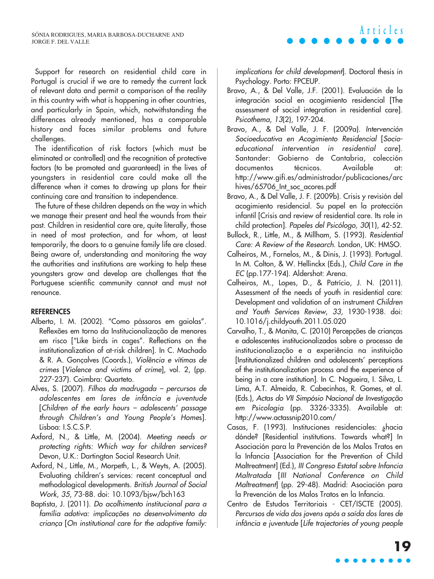Support for research on residential child care in Portugal is crucial if we are to remedy the current lack of relevant data and permit a comparison of the reality in this country with what is happening in other countries, and particularly in Spain, which, notwithstanding the differences already mentioned, has a comparable history and faces similar problems and future challenges.

The identification of risk factors (which must be eliminated or controlled) and the recognition of protective factors (to be promoted and guaranteed) in the lives of youngsters in residential care could make all the difference when it comes to drawing up plans for their continuing care and transition to independence.

The future of these children depends on the way in which we manage their present and heal the wounds from their past. Children in residential care are, quite literally, those in need of most protection, and for whom, at least temporarily, the doors to a genuine family life are closed. Being aware of, understanding and monitoring the way the authorities and institutions are working to help these youngsters grow and develop are challenges that the Portuguese scientific community cannot and must not renounce.

#### **REFERENCES**

- Alberto, I. M. (2002). "Como pássaros em gaiolas". Reflexões em torno da Institucionalização de menores em risco ["Like birds in cages". Reflections on the institutionalization of at-risk children]. In C. Machado & R. A. Gonçalves (Coords.), Violência e vítimas de crimes [Violence and victims of crime], vol. 2, (pp. 227-237). Coimbra: Quarteto.
- Alves, S. (2007). Filhos da madrugada percursos de adolescentes em lares de infância e juventude [Children of the early hours – adolescents' passage through Children's and Young People's Homes]. Lisboa: I.S.C.S.P.
- Axford, N., & Little, M. (2004). Meeting needs or protecting rights: Which way for children services? Devon, U.K.: Dartington Social Research Unit.
- Axford, N., Little, M., Morpeth, L., & Weyts, A. (2005). Evaluating children's services: recent conceptual and methodological developments. British Journal of Social Work, 35, 73-88. doi: 10.1093/bjsw/bch163
- Baptista, J. (2011). Do acolhimento institucional para a família adotiva: implicações no desenvolvimento da criança [On institutional care for the adoptive family:

implications for child development]. Doctoral thesis in Psychology. Porto: FPCEUP.

**Articles**

- Bravo, A., & Del Valle, J.F. (2001). Evaluación de la integración social en acogimiento residencial [The assessment of social integration in residential care]. Psicothema, 13(2), 197-204.
- Bravo, A., & Del Valle, J. F. (2009a). Intervención Socioeducativa en Acogimiento Residencial [Socioeducational intervention in residential care]. Santander: Gobierno de Cantabria, colección documentos técnicos. Available at: http://www.gifi.es/administrador/publicaciones/arc hives/65706\_Int\_soc\_acores.pdf
- Bravo, A., & Del Valle, J. F. (2009b). Crisis y revisión del acogimiento residencial. Su papel en la protección infantil [Crisis and review of residential care. Its role in child protection]. Papeles del Psicólogo, 30(1), 42-52.
- Bullock, R., Little, M., & Millham, S. (1993). Residential Care: A Review of the Research. London, UK: HMSO.
- Calheiros, M., Fornelos, M., & Dinis, J. (1993). Portugal. In M. Colton, & W. Hellinckx (Eds.), Child Care in the EC (pp.177-194). Aldershot: Arena.
- Calheiros, M., Lopes, D., & Patrício, J. N. (2011). Assessment of the needs of youth in residential care: Development and validation of an instrument Children and Youth Services Review, 33, 1930-1938. doi: 10.1016/j.childyouth.2011.05.020
- Carvalho, T., & Manita, C. (2010) Percepções de crianças e adolescentes institucionalizados sobre o processo de institucionalização e a experiência na instituição [Institutionalized children and adolescents' perceptions of the institutionalization process and the experience of being in a care institution]. In C. Nogueira, I. Silva, L. Lima, A.T. Almeida, R. Cabecinhas, R. Gomes, et al. (Eds.), Actas do VII Simpósio Nacional de Investigação em Psicologia (pp. 3326-3335). Available at: http://www.actassnip2010.com/
- Casas, F. (1993). Instituciones residenciales: ¿hacia dónde? [Residential institutions. Towards what?] In Asociación para la Prevención de los Malos Tratos en la Infancia [Association for the Prevention of Child Maltreatment] (Ed.), III Congreso Estatal sobre Infancia Maltratada [III National Conference on Child Maltreatment] (pp. 29-48). Madrid: Asociación para la Prevención de los Malos Tratos en la Infancia.
- Centro de Estudos Territoriais CET/ISCTE (2005). Percursos de vida dos jovens após a saída dos lares de infância e juventude [Life trajectories of young people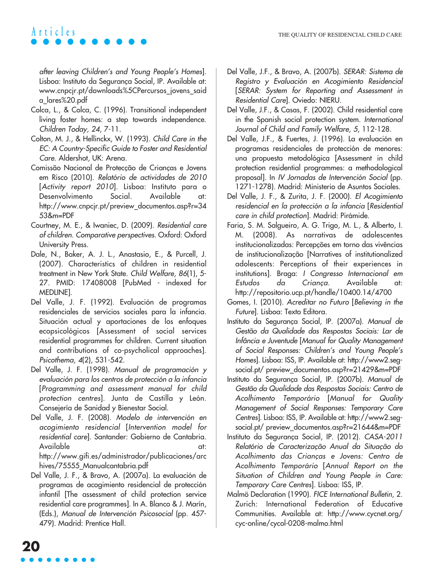after leaving Children's and Young People's Homes]. Lisboa: Instituto da Segurança Social, IP. Available at: www.cnpcjr.pt/downloads%5CPercursos\_jovens\_said a\_lares%20.pdf

- Colca, L., & Colca, C. (1996). Transitional independent living foster homes: a step towards independence. Children Today, 24, 7-11.
- Colton, M. J., & Hellinckx, W. (1993). Child Care in the EC: A Country-Specific Guide to Foster and Residential Care. Aldershot, UK: Arena.
- Comissão Nacional de Protecção de Crianças e Jovens em Risco (2010). Relatório de actividades de 2010 [Activity report 2010]. Lisboa: Instituto para o Desenvolvimento Social. Available at: http://www.cnpcjr.pt/preview\_documentos.asp?r=34 53&m=PDF
- Courtney, M. E., & Iwaniec, D. (2009). Residential care of children. Comparative perspectives. Oxford: Oxford University Press.
- Dale, N., Baker, A. J. L., Anastasio, E., & Purcell, J. (2007). Characteristics of children in residential treatment in New York State. Child Welfare, 86(1), 5- 27. PMID: 17408008 [PubMed - indexed for MEDLINE].
- Del Valle, J. F. (1992). Evaluación de programas residenciales de servicios sociales para la infancia. Situación actual y aportaciones de los enfoques ecopsicológicos [Assessment of social services residential programmes for children. Current situation and contributions of co-psycholical approaches]. Psicothema, 4(2), 531-542.
- Del Valle, J. F. (1998). Manual de programación y evaluación para los centros de protección a la infancia [Programming and assessment manual for child protection centres]. Junta de Castilla y León. Consejería de Sanidad y Bienestar Social.
- Del Valle, J. F. (2008). Modelo de intervención en acogimiento residencial [Intervention model for residential care]. Santander: Gobierno de Cantabria. Available at: http://www.gifi.es/administrador/publicaciones/arc

hives/75555\_Manualcantabria.pdf

Del Valle, J. F., & Bravo, A. (2007a). La evaluación de programas de acogimiento residencial de protección infantil [The assessment of child protection service residential care programmes]. In A. Blanco & J. Marín, (Eds.), Manual de Intervención Psicosocial (pp. 457- 479). Madrid: Prentice Hall.

- Del Valle, J.F., & Bravo, A. (2007b). SERAR: Sistema de Registro y Evaluación en Acogimiento Residencial [SERAR: System for Reporting and Assessment in Residential Care]. Oviedo: NIERU.
- Del Valle, J.F., & Casas, F. (2002). Child residential care in the Spanish social protection system. International Journal of Child and Family Welfare, 5, 112-128.
- Del Valle, J.F., & Fuertes, J. (1996). La evaluación en programas residenciales de protección de menores: una propuesta metodológica [Assessment in child protection residential programmes: a methodological proposal]. In IV Jornadas de Intervención Social (pp. 1271-1278). Madrid: Ministerio de Asuntos Sociales.
- Del Valle, J. F., & Zurita, J. F. (2000). El Acogimiento residencial en la protección a la infancia [Residential care in child protection]. Madrid: Pirámide.
- Faria, S. M. Salgueiro, A. G. Trigo, M. L., & Alberto, I. M. (2008). As narrativas de adolescentes institucionalizadas: Percepções em torno das vivências de institucionalização [Narratives of institutionalized adolescents: Perceptions of their experiences in institutions]. Braga: I Congresso Internacional em Estudos da Criança. Available at: http://repositorio.ucp.pt/handle/10400.14/4700
- Gomes, I. (2010). Acreditar no Futuro [Believing in the Future]. Lisboa: Texto Editora.
- Instituto da Segurança Social, IP. (2007a). Manual de Gestão da Qualidade das Respostas Sociais: Lar de Infância e Juventude [Manual for Quality Management of Social Responses: Children's and Young People's Homes]. Lisboa: ISS, IP. Available at: http://www2.segsocial.pt/ preview\_documentos.asp?r=21429&m=PDF
- Instituto da Segurança Social, IP. (2007b). Manual de Gestão da Qualidade das Respostas Sociais: Centro de Acolhimento Temporário [Manual for Quality Management of Social Responses: Temporary Care Centres]. Lisboa: ISS, IP. Available at: http://www2.segsocial.pt/ preview\_documentos.asp?r=21644&m=PDF
- Instituto da Segurança Social, IP. (2012). CASA-2011 Relatório de Caracterização Anual da Situação do Acolhimento das Crianças e Jovens: Centro de Acolhimento Temporário [Annual Report on the Situation of Children and Young People in Care: Temporary Care Centres]. Lisboa: ISS, IP.
- Malmö Declaration (1990). FICE International Bulletin, 2. Zurich: International Federation of Educative Communities. Available at: http://www.cycnet.org/ cyc-online/cycol-0208-malmo.html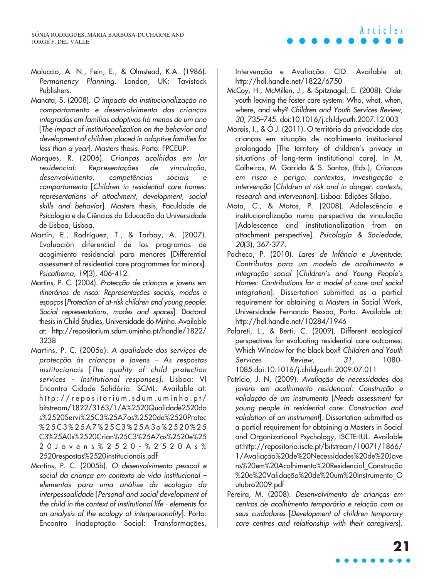- Maluccio, A. N., Fein, E., & Olmstead, K.A. (1986). Permanency Planning. London, UK: Tavistock Publishers.
- Manata, S. (2008). O impacto da institucionalização no comportamento e desenvolvimento das crianças integradas em famílias adoptivas há menos de um ano [The impact of institutionalization on the behavior and development of children placed in adoptive families for less than a year]. Masters thesis. Porto: FPCEUP.
- Marques, R. (2006). Crianças acolhidas em lar residencial: Representações de vinculação, desenvolvimento, competências sociais e comportamento [Children in residential care homes: representations of attachment, development, social skills and behavior]. Masters thesis, Faculdade de Psicologia e de Ciências da Educação da Universidade de Lisboa, Lisboa.
- Martín, E., Rodríguez, T., & Torbay, A. (2007). Evaluación diferencial de los programas de acogimiento residencial para menores [Differential assessment of residential care programmes for minors]. Psicothema, 19(3), 406-412.
- Martins, P. C. (2004). Protecção de crianças e jovens em itinerários de risco: Representações sociais, modos e espaços [Protection of at-risk children and young people: Social representations, modes and spaces]. Doctoral thesis in Child Studies, Universidade do Minho. Available at: http://repositorium.sdum.uminho.pt/handle/1822/ 3238
- Martins, P. C. (2005a). A qualidade dos serviços de protecção às crianças e jovens – As respostas institucionais [The quality of child protection services - Institutional responses]. Lisboa: VI Encontro Cidade Solidária. SCML. Available at: http://repositorium.sdum.uminho.pt/ bitstream/1822/3163/1/A%2520Qualidade2520do s%2520Servi%25C3%25A7os%2520de%2520Protec %25C3%25A7%25C3%25A3o%2520%25 C3%25A0s%2520Crian%25C3%25A7as%2520e%25 20Jovens%2520-%2520As% 2520respostas%2520institucionais.pdf
- Martins, P. C. (2005b). O desenvolvimento pessoal e social da criança em contexto de vida institucional – elementos para uma análise da ecologia da interpessoalidade [Personal and social development of the child in the context of institutional life - elements for an analysis of the ecology of interpersonality]. Porto: Encontro Inadaptação Social: Transformações,

Intervenção e Avaliação. CID. Available at: http://hdl.handle.net/1822/6750

- McCoy, H., McMillen, J., & Spitznagel, E. (2008). Older youth leaving the foster care system: Who, what, when, where, and why? Children and Youth Services Review, 30, 735–745. doi:10.1016/j.childyouth.2007.12.003
- Morais, I., & Ó J. (2011). O território da privacidade das crianças em situação de acolhimento institucional prolongado [The territory of children's privacy in situations of long-term institutional care]. In M. Calheiros, M. Garrido & S. Santos, (Eds.), Crianças em risco e perigo: contextos, investigação e intervenção [Children at risk and in danger: contexts, research and intervention]. Lisboa: Edições Sílabo.
- Mota, C., & Matos, P. (2008). Adolescência e institucionalização numa perspectiva de vinculação [Adolescence and institutionalization from an attachment perspective]. Psicologia & Sociedade, 20(3), 367-377.
- Pacheco, P. (2010). Lares de Infância e Juventude: Contributos para um modelo de acolhimento e integração social [Children's and Young People's Homes: Contributions for a model of care and social integration]. Dissertation submitted as a partial requirement for obtaining a Masters in Social Work, Universidade Fernando Pessoa, Porto. Available at: http://hdl.handle.net/10284/1946
- Palareti, L., & Berti, C. (2009). Different ecological perspectives for evaluating residential care outcomes: Which Window for the black box? Children and Youth Services Review, 31, 1080-1085.doi:10.1016/j.childyouth.2009.07.011
- Patrício, J. N. (2009). Avaliação de necessidades dos jovens em acolhimento residencial: Construção e validação de um instrumento [Needs assessment for young people in residential care: Construction and validation of an instrument]. Dissertation submitted as a partial requirement for obtaining a Masters in Social and Organizational Psychology, ISCTE-IUL. Available at:http://repositorio.iscte.pt/bitstream/10071/1866/ 1/Avaliação%20de%20Necessidades%20de%20Jove ns%20em%20Acolhimento%20Residencial\_Construção %20e%20Validação%20de%20um%20Instrumento\_O utubro2009.pdf
- Pereira, M. (2008). Desenvolvimento de crianças em centros de acolhimento temporário e relação com os seus cuidadores [Development of children temporary care centres and relationship with their caregivers].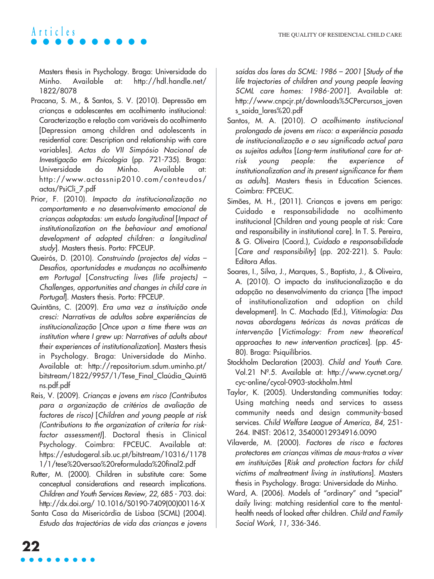Masters thesis in Psychology. Braga: Universidade do Minho. Available at: http://hdl.handle.net/ 1822/8078

- Pracana, S. M., & Santos, S. V. (2010). Depressão em crianças e adolescentes em acolhimento institucional: Caracterização e relação com variáveis do acolhimento [Depression among children and adolescents in residential care: Description and relationship with care variables]. Actas do VII Simpósio Nacional de Investigação em Psicologia (pp. 721-735). Braga: Universidade do Minho. Available at: http://www.actassnip2010.com/conteudos/ actas/PsiCli\_7.pdf
- Prior, F. (2010). Impacto da institucionalização no comportamento e no desenvolvimento emocional de crianças adoptadas: um estudo longitudinal [Impact of institutionalization on the behaviour and emotional development of adopted children: a longitudinal study]. Masters thesis. Porto: FPCEUP.
- Queirós, D. (2010). Construindo (projectos de) vidas Desafios, oportunidades e mudanças no acolhimento em Portugal [Constructing lives (life projects) – Challenges, opportunities and changes in child care in Portugal]. Masters thesis. Porto: FPCEUP.
- Quintãns, C. (2009). Era uma vez a instituição onde cresci: Narrativas de adultos sobre experiências de institucionalização [Once upon a time there was an institution where I grew up: Narratives of adults about their experiences of institutionalization]. Masters thesis in Psychology. Braga: Universidade do Minho. Available at: http://repositorium.sdum.uminho.pt/ bitstream/1822/9957/1/Tese\_Final\_Claúdia\_Quintã ns.pdf.pdf
- Reis, V. (2009). Crianças e jovens em risco (Contributos para a organização de critérios de avaliação de factores de risco) [Children and young people at risk (Contributions to the organization of criteria for riskfactor assessment)]. Doctoral thesis in Clinical Psychology. Coimbra: FPCEUC. Available at: https://estudogeral.sib.uc.pt/bitstream/10316/1178 1/1/tese%20versao%20reformulada%20final2.pdf
- Rutter, M. (2000). Children in substitute care: Some conceptual considerations and research implications. Children and Youth Services Review, 22, 685 - 703. doi: http://dx.doi.org/ 10.1016/S0190-7409(00)00116-X
- Santa Casa da Misericórdia de Lisboa (SCML) (2004). Estudo das trajectórias de vida das crianças e jovens

saídas dos lares da SCML: 1986 – 2001 [Study of the life trajectories of children and young people leaving SCML care homes: 1986-2001]. Available at: http://www.cnpcjr.pt/downloads%5CPercursos\_joven s\_saida\_lares%20.pdf

- Santos, M. A. (2010). O acolhimento institucional prolongado de jovens em risco: a experiência pasada de institucionalização e o seu significado actual para os sujeitos adultos [Long-term institutional care for atrisk young people: the experience of institutionalization and its present significance for them as adults]. Masters thesis in Education Sciences. Coimbra: FPCEUC.
- Simões, M. H., (2011). Crianças e jovens em perigo: Cuidado e responsabilidade no acolhimento institucional [Children and young people at risk: Care and responsibility in institutional care]. In T. S. Pereira, & G. Oliveira (Coord.), Cuidado e responsabilidade [Care and responsibility] (pp. 202-221). S. Paulo: Editora Atlas.
- Soares, I., Silva, J., Marques, S., Baptista, J., & Oliveira, A. (2010). O impacto da institucionalização e da adopção no desenvolvimento da criança [The impact of institutionalization and adoption on child development]. In C. Machado (Ed.), Vitimologia: Das novas abordagens teóricas às novas práticas de intervenção [Victimology: From new theoretical approaches to new intervention practices]. (pp. 45- 80). Braga: Psiquilíbrios.
- Stockholm Declaration (2003). Child and Youth Care. Vol.21 Nº.5. Available at: http://www.cycnet.org/ cyc-online/cycol-0903-stockholm.html
- Taylor, K. (2005). Understanding communities today: Using matching needs and services to assess community needs and design community-based services. Child Welfare League of America, 84, 251- 264. INIST: 20612, 35400012934916.0090
- Vilaverde, M. (2000). Factores de risco e factores protectores em crianças vítimas de maus-tratos a viver em instituições [Risk and protection factors for child victims of maltreatment living in institutions]. Masters thesis in Psychology. Braga: Universidade do Minho.
- Ward, A. (2006). Models of "ordinary" and "special" daily living: matching residential care to the mentalhealth needs of looked after children. Child and Family Social Work, 11, 336-346.